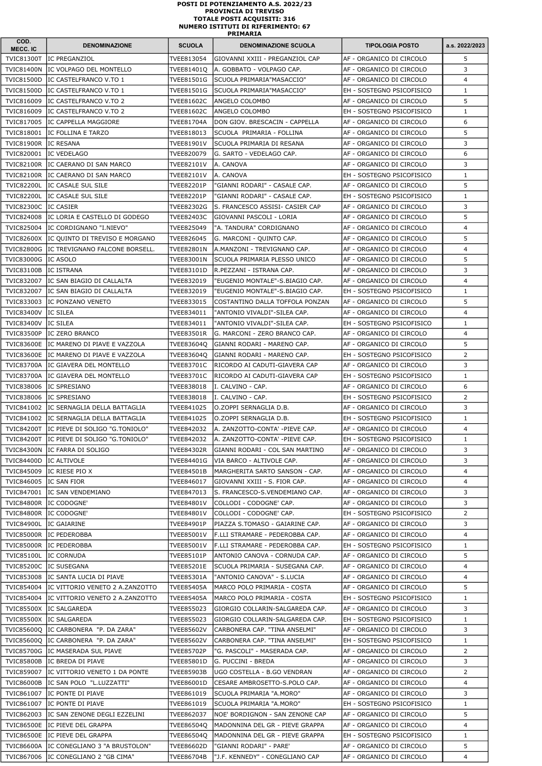| COD.<br>MECC. IC    | <b>DENOMINAZIONE</b>                      | <b>SCUOLA</b>     | <b>DENOMINAZIONE SCUOLA</b>              | <b>TIPOLOGIA POSTO</b>           | a.s. 2022/2023 |
|---------------------|-------------------------------------------|-------------------|------------------------------------------|----------------------------------|----------------|
| <b>TVIC81300T</b>   | lIC PREGANZIOL                            | TVEE813054        | lgIOVANNI XXIII - PREGANZIOL CAP         | AF - ORGANICO DI CIRCOLO         | 5              |
| <b>TVIC81400N</b>   | IIC VOLPAGO DEL MONTELLO                  | TVEE81401Q        | A. GOBBATO - VOLPAGO CAP.                | AF - ORGANICO DI CIRCOLO         | 3              |
| <b>TVIC81500D</b>   | IC CASTELFRANCO V.TO 1                    | TVEE81501G        | ISCUOLA PRIMARIA"MASACCIO"               | AF - ORGANICO DI CIRCOLO         | $\overline{4}$ |
| <b>TVIC81500D</b>   | IC CASTELFRANCO V.TO 1                    | <b>TVEE81501G</b> | SCUOLA PRIMARIA"MASACCIO"                | EH - SOSTEGNO PSICOFISICO        | $\mathbf{1}$   |
| TVIC816009          | IC CASTELFRANCO V.TO 2                    | <b>TVEE81602C</b> | ANGELO COLOMBO                           | AF - ORGANICO DI CIRCOLO         | 5              |
| TVIC816009          | IIC CASTELFRANCO V.TO 2                   | TVEE81602C        | ANGELO COLOMBO                           | EH - SOSTEGNO PSICOFISICO        | $\mathbf{1}$   |
| TVIC817005          | IC CAPPELLA MAGGIORE                      | TVEE81704A        | DON GIOV. BRESCACIN - CAPPELLA           | AF - ORGANICO DI CIRCOLO         | 6              |
| TVIC818001          | lIC FOLLINA E TARZO                       | TVEE818013        | SCUOLA PRIMARIA - FOLLINA                | AF - ORGANICO DI CIRCOLO         | 5              |
| <b>TVIC81900R</b>   | <b>IC RESANA</b>                          | <b>TVEE81901V</b> | ISCUOLA PRIMARIA DI RESANA               | AF - ORGANICO DI CIRCOLO         | 3              |
| TVIC820001          | IC VEDELAGO                               | TVEE820079        | lG. SARTO - VEDELAGO CAP.                | AF - ORGANICO DI CIRCOLO         | 6              |
| <b>TVIC82100R</b>   | lIC CAERANO DI SAN MARCO                  | TVEE82101V        | IA. CANOVA                               | AF - ORGANICO DI CIRCOLO         | 3              |
| <b>TVIC82100R</b>   | IC CAERANO DI SAN MARCO                   | <b>TVEE82101V</b> | A. CANOVA                                | EH - SOSTEGNO PSICOFISICO        | $\mathbf{1}$   |
| <b>TVIC82200L</b>   | IIC CASALE SUL SILE                       | TVEE82201P        | "GIANNI RODARI" - CASALE CAP.            | AF - ORGANICO DI CIRCOLO         | 5              |
| <b>TVIC82200L</b>   | IC CASALE SUL SILE                        | TVEE82201P        | "GIANNI RODARI" - CASALE CAP.            | EH - SOSTEGNO PSICOFISICO        | $\mathbf{1}$   |
| <b>TVIC82300C</b>   | <b>IC CASIER</b>                          | TVEE82302G        | S. FRANCESCO ASSISI- CASIER CAP          | AF - ORGANICO DI CIRCOLO         | 3              |
| <b>TVIC824008</b>   | IC LORIA E CASTELLO DI GODEGO             | <b>TVEE82403C</b> | GIOVANNI PASCOLI - LORIA                 | AF - ORGANICO DI CIRCOLO         | 5              |
| TVIC825004          | IC CORDIGNANO "I.NIEVO"                   | TVEE825049        | "A. TANDURA" CORDIGNANO                  | AF - ORGANICO DI CIRCOLO         | $\overline{4}$ |
| <b>TVIC82600X</b>   | IC QUINTO DI TREVISO E MORGANO            | TVEE826045        | G. MARCONI - QUINTO CAP.                 | AF - ORGANICO DI CIRCOLO         | 5              |
| <b>TVIC82800G</b>   | IC TREVIGNANO FALCONE BORSELL.            | <b>TVEE82801N</b> | A.MANZONI - TREVIGNANO CAP.              | AF - ORGANICO DI CIRCOLO         | 4              |
| <b>TVIC83000G</b>   | IC ASOLO                                  | <b>TVEE83001N</b> | SCUOLA PRIMARIA PLESSO UNICO             | AF - ORGANICO DI CIRCOLO         | 5              |
| <b>TVIC83100B</b>   | IIC ISTRANA                               | TVEE83101D        | R.PEZZANI - ISTRANA CAP.                 | AF - ORGANICO DI CIRCOLO         | 3              |
| TVIC832007          | IC SAN BIAGIO DI CALLALTA                 | TVEE832019        | "EUGENIO MONTALE"-S.BIAGIO CAP.          | AF - ORGANICO DI CIRCOLO         | 4              |
| TVIC832007          | IC SAN BIAGIO DI CALLALTA                 | TVEE832019        | 'EUGENIO MONTALE"-S.BIAGIO CAP.          | EH - SOSTEGNO PSICOFISICO        | $\mathbf{1}$   |
| TVIC833003          | IC PONZANO VENETO                         | TVEE833015        | COSTANTINO DALLA TOFFOLA PONZAN          | AF - ORGANICO DI CIRCOLO         | 5              |
| <b>TVIC83400V</b>   | IC SILEA                                  | TVEE834011        | 'ANTONIO VIVALDI"-SILEA CAP.             | AF - ORGANICO DI CIRCOLO         | 4              |
| TVIC83400V IC SILEA |                                           | TVEE834011        | "ANTONIO VIVALDI"-SILEA CAP.             | EH - SOSTEGNO PSICOFISICO        | 1              |
|                     | TVIC83500P IC ZERO BRANCO                 |                   | TVEE83501R G. MARCONI - ZERO BRANCO CAP. | AF - ORGANICO DI CIRCOLO         | 4              |
|                     | TVIC83600E IC MARENO DI PIAVE E VAZZOLA   | TVEE83604Q        | IGIANNI RODARI - MARENO CAP.             | IAF - ORGANICO DI CIRCOLO        | 5              |
|                     | TVIC83600E IC MARENO DI PIAVE E VAZZOLA   |                   | TVEE83604Q GIANNI RODARI - MARENO CAP.   | IEH - SOSTEGNO PSICOFISICO       | $\overline{2}$ |
| <b>TVIC83700A</b>   | IC GIAVERA DEL MONTELLO                   | <b>TVEE83701C</b> | RICORDO AI CADUTI-GIAVERA CAP            | AF - ORGANICO DI CIRCOLO         | 3              |
| <b>TVIC83700A</b>   | IC GIAVERA DEL MONTELLO                   | TVEE83701C        | RICORDO AI CADUTI-GIAVERA CAP            | EH - SOSTEGNO PSICOFISICO        | $\mathbf{1}$   |
| TVIC838006          | IC SPRESIANO                              | TVEE838018        | I. CALVINO - CAP.                        | AF - ORGANICO DI CIRCOLO         | 6              |
| TVIC838006          | IIC SPRESIANO                             | TVEE838018        | I. CALVINO - CAP.                        | EH - SOSTEGNO PSICOFISICO        | $\overline{2}$ |
|                     | TVIC841002   IC SERNAGLIA DELLA BATTAGLIA | TVEE841025        | IO.ZOPPI SERNAGLIA D.B.                  | AF - ORGANICO DI CIRCOLO         | 3              |
| TVIC841002          | IC SERNAGLIA DELLA BATTAGLIA              | TVEE841025        | O.ZOPPI SERNAGLIA D.B.                   | EH - SOSTEGNO PSICOFISICO        | $\mathbf{1}$   |
|                     | TVIC84200T IC PIEVE DI SOLIGO "G.TONIOLO" | TVEE842032        | IA. ZANZOTTO-CONTA' -PIEVE CAP.          | AF - ORGANICO DI CIRCOLO         | 4              |
| <b>TVIC84200T</b>   | IC PIEVE DI SOLIGO "G.TONIOLO"            | TVEE842032        | A. ZANZOTTO-CONTA' -PIEVE CAP.           | IEH - SOSTEGNO PSICOFISICO       | $\mathbf{1}$   |
| <b>TVIC84300N</b>   | lIC FARRA DI SOLIGO                       | <b>TVEE84302R</b> | GIANNI RODARI - COL SAN MARTINO          | AF - ORGANICO DI CIRCOLO         | 3              |
| <b>TVIC84400D</b>   | IC ALTIVOLE                               | TVEE84401G        | VIA BARCO - ALTIVOLE CAP.                | AF - ORGANICO DI CIRCOLO         | 3              |
| TVIC845009          | IC RIESE PIO X                            | TVEE84501B        | MARGHERITA SARTO SANSON - CAP.           | AF - ORGANICO DI CIRCOLO         | $\overline{4}$ |
| TVIC846005          | IC SAN FIOR                               | TVEE846017        | GIOVANNI XXIII - S. FIOR CAP.            | AF - ORGANICO DI CIRCOLO         | $\overline{4}$ |
|                     | TVIC847001  IC SAN VENDEMIANO             | TVEE847013        | S. FRANCESCO-S.VENDEMIANO CAP.           | AF - ORGANICO DI CIRCOLO         | 3              |
| <b>TVIC84800R</b>   | IC CODOGNE'                               | <b>TVEE84801V</b> | COLLODI - CODOGNE' CAP.                  | AF - ORGANICO DI CIRCOLO         | 3              |
|                     |                                           |                   |                                          |                                  | $\overline{2}$ |
| <b>TVIC84800R</b>   | IC CODOGNE'                               | TVEE84801V        | COLLODI - CODOGNE' CAP.                  | EH - SOSTEGNO PSICOFISICO        |                |
| <b>TVIC84900L</b>   | lIC GAIARINE                              | <b>TVEE84901P</b> | PIAZZA S.TOMASO - GAIARINE CAP.          | AF - ORGANICO DI CIRCOLO         | 3              |
| <b>TVIC85000R</b>   | <b>IC PEDEROBBA</b>                       | <b>TVEE85001V</b> | F.LLI STRAMARE - PEDEROBBA CAP.          | AF - ORGANICO DI CIRCOLO         | $\overline{4}$ |
| <b>TVIC85000R</b>   | IC PEDEROBBA                              | TVEE85001V        | F.LLI STRAMARE - PEDEROBBA CAP.          | EH - SOSTEGNO PSICOFISICO        | $\mathbf{1}$   |
| <b>TVIC85100L</b>   | IC CORNUDA                                | <b>TVEE85101P</b> | ANTONIO CANOVA - CORNUDA CAP.            | AF - ORGANICO DI CIRCOLO         | 5              |
| <b>TVIC85200C</b>   | IC SUSEGANA                               | <b>TVEE85201E</b> | SCUOLA PRIMARIA - SUSEGANA CAP.          | AF - ORGANICO DI CIRCOLO         | $\overline{4}$ |
| TVIC853008          | lic Santa Lucia di Piave                  | <b>TVEE85301A</b> | "ANTONIO CANOVA" - S.LUCIA               | AF - ORGANICO DI CIRCOLO         | 4              |
| TVIC854004          | IIC VITTORIO VENETO 2 A.ZANZOTTO          | <b>TVEE85405A</b> | MARCO POLO PRIMARIA - COSTA              | AF - ORGANICO DI CIRCOLO         | 5              |
| TVIC854004          | IC VITTORIO VENETO 2 A.ZANZOTTO           | <b>TVEE85405A</b> | IMARCO POLO PRIMARIA - COSTA             | EH - SOSTEGNO PSICOFISICO        | $\mathbf{1}$   |
|                     | TVIC85500X IC SALGAREDA                   | TVEE855023        | GIORGIO COLLARIN-SALGAREDA CAP.          | AF - ORGANICO DI CIRCOLO         | 3              |
|                     | TVIC85500X IC SALGAREDA                   | TVEE855023        | lGIORGIO COLLARIN-SALGAREDA CAP.         | EH - SOSTEGNO PSICOFISICO        | $\mathbf{1}$   |
| <b>TVIC85600Q</b>   | IC CARBONERA "P. DA ZARA"                 | TVEE85602V        | CARBONERA CAP. "TINA ANSELMI"            | AF - ORGANICO DI CIRCOLO         | 3              |
| <b>TVIC85600Q</b>   | IIC CARBONERA "P. DA ZARA"                | TVEE85602V        | CARBONERA CAP. "TINA ANSELMI"            | EH - SOSTEGNO PSICOFISICO        | $\mathbf{1}$   |
| <b>TVIC85700G</b>   | IC MASERADA SUL PIAVE                     | TVEE85702P        | "G. PASCOLI" - MASERADA CAP.             | AF - ORGANICO DI CIRCOLO         | $\overline{2}$ |
| <b>TVIC85800B</b>   | IC BREDA DI PIAVE                         | TVEE85801D        | G. PUCCINI - BREDA                       | AF - ORGANICO DI CIRCOLO         | 3              |
| TVIC859007          | IC VITTORIO VENETO 1 DA PONTE             | TVEE85903B        | UGO COSTELLA - B.GO VENDRAN              | AF - ORGANICO DI CIRCOLO         | $\mathbf{2}$   |
| <b>TVIC86000B</b>   | IC SAN POLO "L.LUZZATTI"                  | <b>TVEE86001D</b> | CESARE AMBROSETTO-S.POLO CAP.            | AF - ORGANICO DI CIRCOLO         | 4              |
| TVIC861007          | IC PONTE DI PIAVE                         | TVEE861019        | SCUOLA PRIMARIA "A.MORO"                 | AF - ORGANICO DI CIRCOLO         | 3              |
| TVIC861007          | IC PONTE DI PIAVE                         | TVEE861019        | SCUOLA PRIMARIA "A.MORO"                 | EH - SOSTEGNO PSICOFISICO        | $\mathbf{1}$   |
| TVIC862003          | IC SAN ZENONE DEGLI EZZELINI              | TVEE862037        | NOE' BORDIGNON - SAN ZENONE CAP          | AF - ORGANICO DI CIRCOLO         | 5.             |
| <b>TVIC86500E</b>   | IC PIEVE DEL GRAPPA                       | TVEE86504Q        | MADONNINA DEL GR - PIEVE GRAPPA          | AF - ORGANICO DI CIRCOLO         | 4              |
| <b>TVIC86500E</b>   | IC PIEVE DEL GRAPPA                       | <b>TVEE86504Q</b> | MADONNINA DEL GR - PIEVE GRAPPA          | <b>EH - SOSTEGNO PSICOFISICO</b> | $\mathbf{1}$   |
| <b>TVIC86600A</b>   | IC CONEGLIANO 3 "A BRUSTOLON"             | <b>TVEE86602D</b> | "GIANNI RODARI" - PARE'                  | AF - ORGANICO DI CIRCOLO         | 5.             |
| TVIC867006          | IIC CONEGLIANO 2 "GB CIMA"                | TVEE86704B        | "J.F. KENNEDY" - CONEGLIANO CAP          | AF - ORGANICO DI CIRCOLO         | 4              |

## PRIMARIA POSTI DI POTENZIAMENTO A.S. 2022/23 PROVINCIA DI TREVISO TOTALE POSTI ACQUISITI: 316 NUMERO ISTITUTI DI RIFERIMENTO: 67